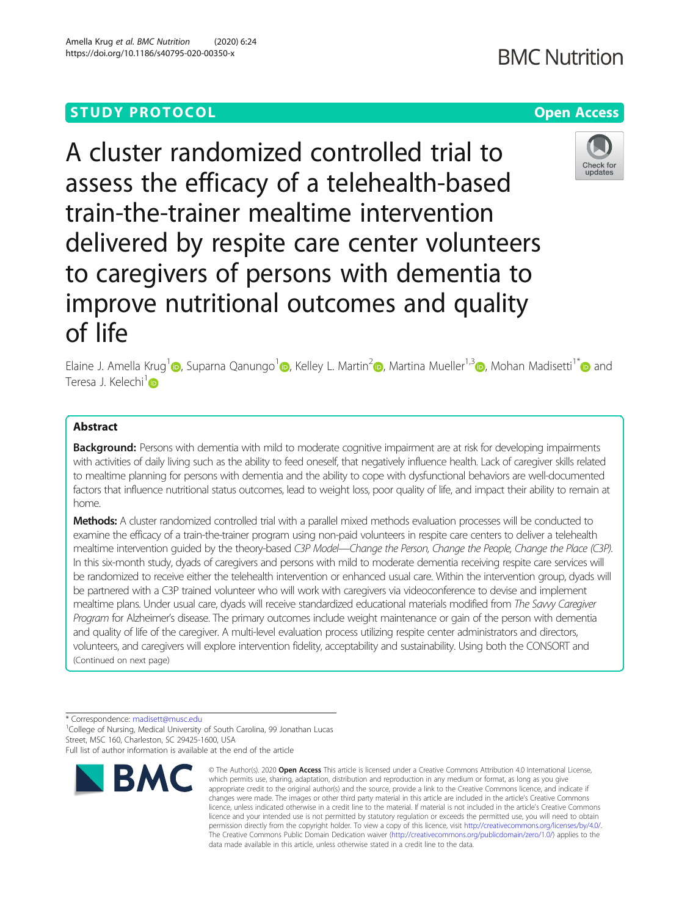# **STUDY PROTOCOL CONSUMING THE RESERVE ACCESS**

A cluster randomized controlled trial to assess the efficacy of a telehealth-based train-the-trainer mealtime intervention delivered by respite care center volunteers to caregivers of persons with dementia to improve nutritional outcomes and quality of life

Elaine J. Amella Krug<sup>[1](https://orcid.org/0000-0002-2415-312X)</sup> , Suparna Qanungo<sup>1</sup> , Kelley L. Martin<sup>[2](https://orcid.org/0000-0001-5483-8595)</sup> , Martina Mueller<sup>1,[3](https://orcid.org/0000-0003-2041-5142)</sup> , Mohan Madisetti<sup>1[\\*](https://orcid.org/0000-0002-1764-0149)</sup> and Teresa J. Kelechi<sup>[1](https://orcid.org/0000-0001-7412-2607)</sup>n

# Abstract

Background: Persons with dementia with mild to moderate cognitive impairment are at risk for developing impairments with activities of daily living such as the ability to feed oneself, that negatively influence health. Lack of caregiver skills related to mealtime planning for persons with dementia and the ability to cope with dysfunctional behaviors are well-documented factors that influence nutritional status outcomes, lead to weight loss, poor quality of life, and impact their ability to remain at home.

Methods: A cluster randomized controlled trial with a parallel mixed methods evaluation processes will be conducted to examine the efficacy of a train-the-trainer program using non-paid volunteers in respite care centers to deliver a telehealth mealtime intervention guided by the theory-based C3P Model—Change the Person, Change the People, Change the Place (C3P). In this six-month study, dyads of caregivers and persons with mild to moderate dementia receiving respite care services will be randomized to receive either the telehealth intervention or enhanced usual care. Within the intervention group, dyads will be partnered with a C3P trained volunteer who will work with caregivers via videoconference to devise and implement mealtime plans. Under usual care, dyads will receive standardized educational materials modified from The Sawy Caregiver Program for Alzheimer's disease. The primary outcomes include weight maintenance or gain of the person with dementia and quality of life of the caregiver. A multi-level evaluation process utilizing respite center administrators and directors, volunteers, and caregivers will explore intervention fidelity, acceptability and sustainability. Using both the CONSORT and (Continued on next page)

\* Correspondence: [madisett@musc.edu](mailto:madisett@musc.edu) <sup>1</sup>

**BMC** 

<sup>1</sup>College of Nursing, Medical University of South Carolina, 99 Jonathan Lucas Street, MSC 160, Charleston, SC 29425-1600, USA

#### © The Author(s), 2020 **Open Access** This article is licensed under a Creative Commons Attribution 4.0 International License, which permits use, sharing, adaptation, distribution and reproduction in any medium or format, as long as you give appropriate credit to the original author(s) and the source, provide a link to the Creative Commons licence, and indicate if changes were made. The images or other third party material in this article are included in the article's Creative Commons licence, unless indicated otherwise in a credit line to the material. If material is not included in the article's Creative Commons licence and your intended use is not permitted by statutory regulation or exceeds the permitted use, you will need to obtain permission directly from the copyright holder. To view a copy of this licence, visit [http://creativecommons.org/licenses/by/4.0/.](http://creativecommons.org/licenses/by/4.0/) The Creative Commons Public Domain Dedication waiver [\(http://creativecommons.org/publicdomain/zero/1.0/](http://creativecommons.org/publicdomain/zero/1.0/)) applies to the data made available in this article, unless otherwise stated in a credit line to the data.







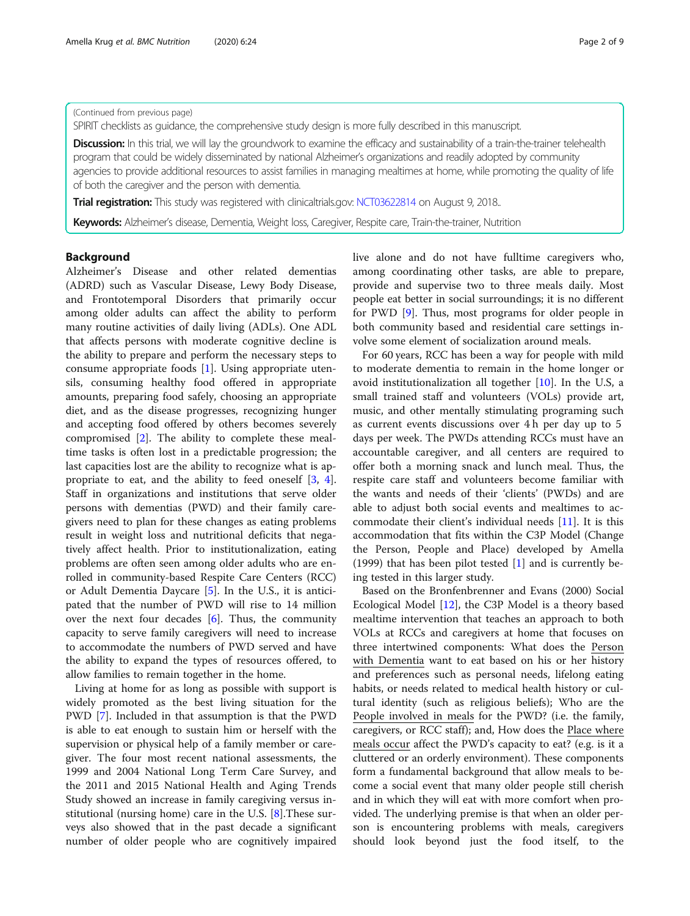# (Continued from previous page)

SPIRIT checklists as guidance, the comprehensive study design is more fully described in this manuscript.

Discussion: In this trial, we will lay the groundwork to examine the efficacy and sustainability of a train-the-trainer telehealth program that could be widely disseminated by national Alzheimer's organizations and readily adopted by community agencies to provide additional resources to assist families in managing mealtimes at home, while promoting the quality of life of both the caregiver and the person with dementia.

Trial registration: This study was registered with clinicaltrials.gov: [NCT03622814](https://clinicaltrials.gov/ct2/show/NCT03622814) on August 9, 2018..

Keywords: Alzheimer's disease, Dementia, Weight loss, Caregiver, Respite care, Train-the-trainer, Nutrition

# Background

Alzheimer's Disease and other related dementias (ADRD) such as Vascular Disease, Lewy Body Disease, and Frontotemporal Disorders that primarily occur among older adults can affect the ability to perform many routine activities of daily living (ADLs). One ADL that affects persons with moderate cognitive decline is the ability to prepare and perform the necessary steps to consume appropriate foods [[1\]](#page-8-0). Using appropriate utensils, consuming healthy food offered in appropriate amounts, preparing food safely, choosing an appropriate diet, and as the disease progresses, recognizing hunger and accepting food offered by others becomes severely compromised [[2](#page-8-0)]. The ability to complete these mealtime tasks is often lost in a predictable progression; the last capacities lost are the ability to recognize what is appropriate to eat, and the ability to feed oneself [[3](#page-8-0), [4](#page-8-0)]. Staff in organizations and institutions that serve older persons with dementias (PWD) and their family caregivers need to plan for these changes as eating problems result in weight loss and nutritional deficits that negatively affect health. Prior to institutionalization, eating problems are often seen among older adults who are enrolled in community-based Respite Care Centers (RCC) or Adult Dementia Daycare [\[5](#page-8-0)]. In the U.S., it is anticipated that the number of PWD will rise to 14 million over the next four decades [\[6](#page-8-0)]. Thus, the community capacity to serve family caregivers will need to increase to accommodate the numbers of PWD served and have the ability to expand the types of resources offered, to allow families to remain together in the home.

Living at home for as long as possible with support is widely promoted as the best living situation for the PWD [\[7](#page-8-0)]. Included in that assumption is that the PWD is able to eat enough to sustain him or herself with the supervision or physical help of a family member or caregiver. The four most recent national assessments, the 1999 and 2004 National Long Term Care Survey, and the 2011 and 2015 National Health and Aging Trends Study showed an increase in family caregiving versus institutional (nursing home) care in the U.S. [[8](#page-8-0)].These surveys also showed that in the past decade a significant number of older people who are cognitively impaired live alone and do not have fulltime caregivers who, among coordinating other tasks, are able to prepare, provide and supervise two to three meals daily. Most people eat better in social surroundings; it is no different for PWD [\[9](#page-8-0)]. Thus, most programs for older people in both community based and residential care settings involve some element of socialization around meals.

For 60 years, RCC has been a way for people with mild to moderate dementia to remain in the home longer or avoid institutionalization all together [\[10](#page-8-0)]. In the U.S, a small trained staff and volunteers (VOLs) provide art, music, and other mentally stimulating programing such as current events discussions over 4 h per day up to 5 days per week. The PWDs attending RCCs must have an accountable caregiver, and all centers are required to offer both a morning snack and lunch meal. Thus, the respite care staff and volunteers become familiar with the wants and needs of their 'clients' (PWDs) and are able to adjust both social events and mealtimes to accommodate their client's individual needs [[11\]](#page-8-0). It is this accommodation that fits within the C3P Model (Change the Person, People and Place) developed by Amella (1999) that has been pilot tested [[1\]](#page-8-0) and is currently being tested in this larger study.

Based on the Bronfenbrenner and Evans (2000) Social Ecological Model [[12](#page-8-0)], the C3P Model is a theory based mealtime intervention that teaches an approach to both VOLs at RCCs and caregivers at home that focuses on three intertwined components: What does the Person with Dementia want to eat based on his or her history and preferences such as personal needs, lifelong eating habits, or needs related to medical health history or cultural identity (such as religious beliefs); Who are the People involved in meals for the PWD? (i.e. the family, caregivers, or RCC staff); and, How does the Place where meals occur affect the PWD's capacity to eat? (e.g. is it a cluttered or an orderly environment). These components form a fundamental background that allow meals to become a social event that many older people still cherish and in which they will eat with more comfort when provided. The underlying premise is that when an older person is encountering problems with meals, caregivers should look beyond just the food itself, to the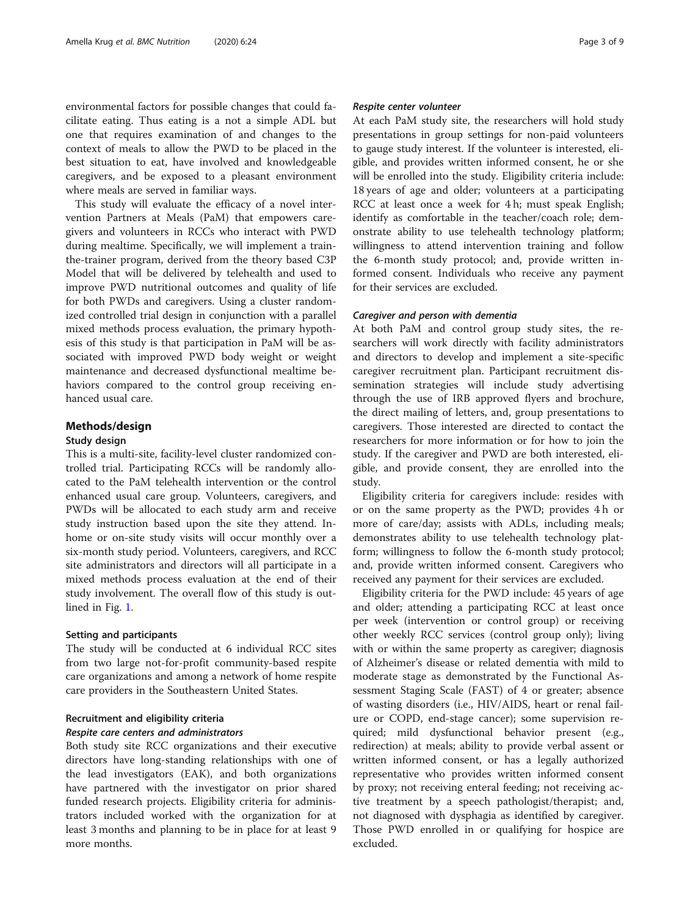environmental factors for possible changes that could facilitate eating. Thus eating is a not a simple ADL but one that requires examination of and changes to the context of meals to allow the PWD to be placed in the best situation to eat, have involved and knowledgeable caregivers, and be exposed to a pleasant environment where meals are served in familiar ways.

This study will evaluate the efficacy of a novel intervention Partners at Meals (PaM) that empowers caregivers and volunteers in RCCs who interact with PWD during mealtime. Specifically, we will implement a trainthe-trainer program, derived from the theory based C3P Model that will be delivered by telehealth and used to improve PWD nutritional outcomes and quality of life for both PWDs and caregivers. Using a cluster randomized controlled trial design in conjunction with a parallel mixed methods process evaluation, the primary hypothesis of this study is that participation in PaM will be associated with improved PWD body weight or weight maintenance and decreased dysfunctional mealtime behaviors compared to the control group receiving enhanced usual care.

## Methods/design

## Study design

This is a multi-site, facility-level cluster randomized controlled trial. Participating RCCs will be randomly allocated to the PaM telehealth intervention or the control enhanced usual care group. Volunteers, caregivers, and PWDs will be allocated to each study arm and receive study instruction based upon the site they attend. Inhome or on-site study visits will occur monthly over a six-month study period. Volunteers, caregivers, and RCC site administrators and directors will all participate in a mixed methods process evaluation at the end of their study involvement. The overall flow of this study is outlined in Fig. [1](#page-3-0).

## Setting and participants

The study will be conducted at 6 individual RCC sites from two large not-for-profit community-based respite care organizations and among a network of home respite care providers in the Southeastern United States.

# Recruitment and eligibility criteria Respite care centers and administrators

Both study site RCC organizations and their executive directors have long-standing relationships with one of the lead investigators (EAK), and both organizations have partnered with the investigator on prior shared funded research projects. Eligibility criteria for administrators included worked with the organization for at least 3 months and planning to be in place for at least 9 more months.

## Respite center volunteer

At each PaM study site, the researchers will hold study presentations in group settings for non-paid volunteers to gauge study interest. If the volunteer is interested, eligible, and provides written informed consent, he or she will be enrolled into the study. Eligibility criteria include: 18 years of age and older; volunteers at a participating RCC at least once a week for 4 h; must speak English; identify as comfortable in the teacher/coach role; demonstrate ability to use telehealth technology platform; willingness to attend intervention training and follow the 6-month study protocol; and, provide written informed consent. Individuals who receive any payment for their services are excluded.

# Caregiver and person with dementia

At both PaM and control group study sites, the researchers will work directly with facility administrators and directors to develop and implement a site-specific caregiver recruitment plan. Participant recruitment dissemination strategies will include study advertising through the use of IRB approved flyers and brochure, the direct mailing of letters, and, group presentations to caregivers. Those interested are directed to contact the researchers for more information or for how to join the study. If the caregiver and PWD are both interested, eligible, and provide consent, they are enrolled into the study.

Eligibility criteria for caregivers include: resides with or on the same property as the PWD; provides 4 h or more of care/day; assists with ADLs, including meals; demonstrates ability to use telehealth technology platform; willingness to follow the 6-month study protocol; and, provide written informed consent. Caregivers who received any payment for their services are excluded.

Eligibility criteria for the PWD include: 45 years of age and older; attending a participating RCC at least once per week (intervention or control group) or receiving other weekly RCC services (control group only); living with or within the same property as caregiver; diagnosis of Alzheimer's disease or related dementia with mild to moderate stage as demonstrated by the Functional Assessment Staging Scale (FAST) of 4 or greater; absence of wasting disorders (i.e., HIV/AIDS, heart or renal failure or COPD, end-stage cancer); some supervision required; mild dysfunctional behavior present (e.g., redirection) at meals; ability to provide verbal assent or written informed consent, or has a legally authorized representative who provides written informed consent by proxy; not receiving enteral feeding; not receiving active treatment by a speech pathologist/therapist; and, not diagnosed with dysphagia as identified by caregiver. Those PWD enrolled in or qualifying for hospice are excluded.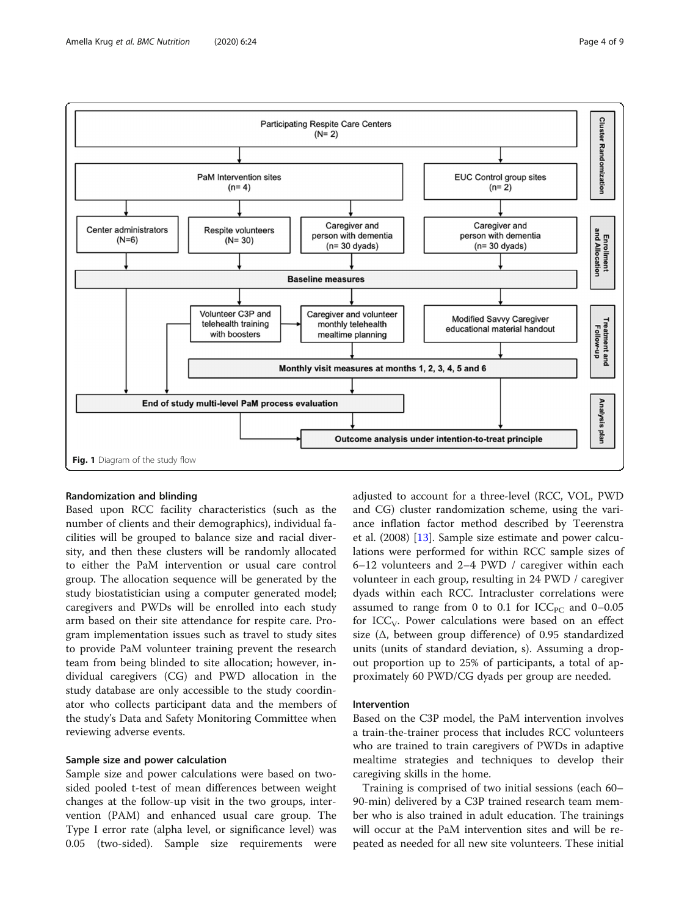<span id="page-3-0"></span>

#### Randomization and blinding

Based upon RCC facility characteristics (such as the number of clients and their demographics), individual facilities will be grouped to balance size and racial diversity, and then these clusters will be randomly allocated to either the PaM intervention or usual care control group. The allocation sequence will be generated by the study biostatistician using a computer generated model; caregivers and PWDs will be enrolled into each study arm based on their site attendance for respite care. Program implementation issues such as travel to study sites to provide PaM volunteer training prevent the research team from being blinded to site allocation; however, individual caregivers (CG) and PWD allocation in the study database are only accessible to the study coordinator who collects participant data and the members of the study's Data and Safety Monitoring Committee when reviewing adverse events.

## Sample size and power calculation

Sample size and power calculations were based on twosided pooled t-test of mean differences between weight changes at the follow-up visit in the two groups, intervention (PAM) and enhanced usual care group. The Type I error rate (alpha level, or significance level) was 0.05 (two-sided). Sample size requirements were adjusted to account for a three-level (RCC, VOL, PWD and CG) cluster randomization scheme, using the variance inflation factor method described by Teerenstra et al. (2008) [\[13](#page-8-0)]. Sample size estimate and power calculations were performed for within RCC sample sizes of 6–12 volunteers and 2–4 PWD / caregiver within each volunteer in each group, resulting in 24 PWD / caregiver dyads within each RCC. Intracluster correlations were assumed to range from 0 to 0.1 for  $ICC_{PC}$  and 0–0.05 for ICC<sub>V</sub>. Power calculations were based on an effect size  $(\Delta)$ , between group difference) of 0.95 standardized units (units of standard deviation, s). Assuming a dropout proportion up to 25% of participants, a total of approximately 60 PWD/CG dyads per group are needed.

### Intervention

Based on the C3P model, the PaM intervention involves a train-the-trainer process that includes RCC volunteers who are trained to train caregivers of PWDs in adaptive mealtime strategies and techniques to develop their caregiving skills in the home.

Training is comprised of two initial sessions (each 60– 90-min) delivered by a C3P trained research team member who is also trained in adult education. The trainings will occur at the PaM intervention sites and will be repeated as needed for all new site volunteers. These initial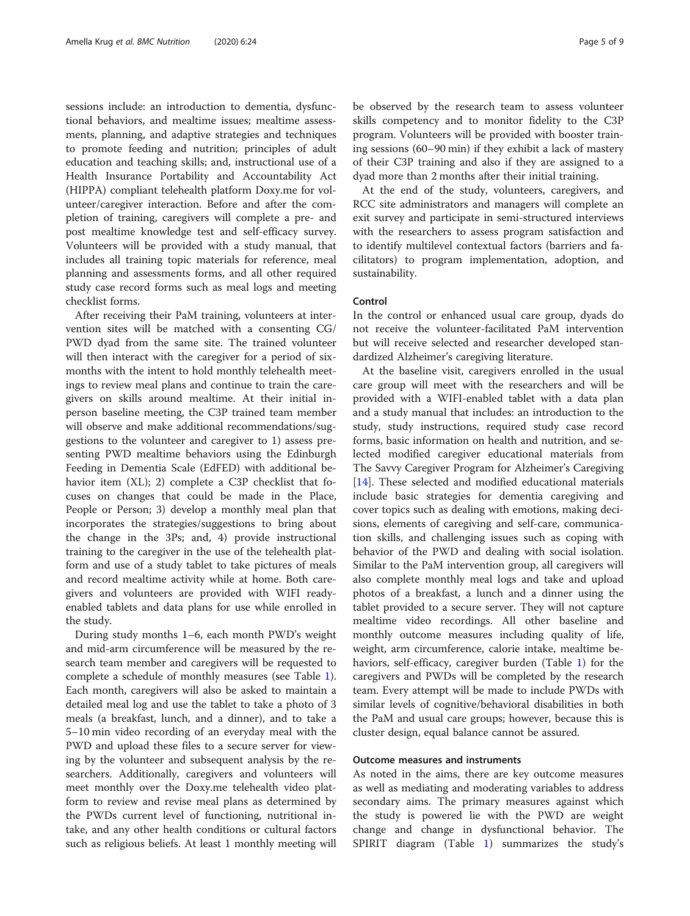sessions include: an introduction to dementia, dysfunctional behaviors, and mealtime issues; mealtime assessments, planning, and adaptive strategies and techniques to promote feeding and nutrition; principles of adult education and teaching skills; and, instructional use of a Health Insurance Portability and Accountability Act (HIPPA) compliant telehealth platform Doxy.me for volunteer/caregiver interaction. Before and after the completion of training, caregivers will complete a pre- and post mealtime knowledge test and self-efficacy survey. Volunteers will be provided with a study manual, that includes all training topic materials for reference, meal planning and assessments forms, and all other required study case record forms such as meal logs and meeting checklist forms.

After receiving their PaM training, volunteers at intervention sites will be matched with a consenting CG/ PWD dyad from the same site. The trained volunteer will then interact with the caregiver for a period of sixmonths with the intent to hold monthly telehealth meetings to review meal plans and continue to train the caregivers on skills around mealtime. At their initial inperson baseline meeting, the C3P trained team member will observe and make additional recommendations/suggestions to the volunteer and caregiver to 1) assess presenting PWD mealtime behaviors using the Edinburgh Feeding in Dementia Scale (EdFED) with additional behavior item (XL); 2) complete a C3P checklist that focuses on changes that could be made in the Place, People or Person; 3) develop a monthly meal plan that incorporates the strategies/suggestions to bring about the change in the 3Ps; and, 4) provide instructional training to the caregiver in the use of the telehealth platform and use of a study tablet to take pictures of meals and record mealtime activity while at home. Both caregivers and volunteers are provided with WIFI readyenabled tablets and data plans for use while enrolled in the study.

During study months 1–6, each month PWD's weight and mid-arm circumference will be measured by the research team member and caregivers will be requested to complete a schedule of monthly measures (see Table [1](#page-5-0)). Each month, caregivers will also be asked to maintain a detailed meal log and use the tablet to take a photo of 3 meals (a breakfast, lunch, and a dinner), and to take a 5–10 min video recording of an everyday meal with the PWD and upload these files to a secure server for viewing by the volunteer and subsequent analysis by the researchers. Additionally, caregivers and volunteers will meet monthly over the Doxy.me telehealth video platform to review and revise meal plans as determined by the PWDs current level of functioning, nutritional intake, and any other health conditions or cultural factors such as religious beliefs. At least 1 monthly meeting will be observed by the research team to assess volunteer skills competency and to monitor fidelity to the C3P program. Volunteers will be provided with booster training sessions (60–90 min) if they exhibit a lack of mastery of their C3P training and also if they are assigned to a dyad more than 2 months after their initial training.

At the end of the study, volunteers, caregivers, and RCC site administrators and managers will complete an exit survey and participate in semi-structured interviews with the researchers to assess program satisfaction and to identify multilevel contextual factors (barriers and facilitators) to program implementation, adoption, and sustainability.

## Control

In the control or enhanced usual care group, dyads do not receive the volunteer-facilitated PaM intervention but will receive selected and researcher developed standardized Alzheimer's caregiving literature.

At the baseline visit, caregivers enrolled in the usual care group will meet with the researchers and will be provided with a WIFI-enabled tablet with a data plan and a study manual that includes: an introduction to the study, study instructions, required study case record forms, basic information on health and nutrition, and selected modified caregiver educational materials from The Savvy Caregiver Program for Alzheimer's Caregiving [[14\]](#page-8-0). These selected and modified educational materials include basic strategies for dementia caregiving and cover topics such as dealing with emotions, making decisions, elements of caregiving and self-care, communication skills, and challenging issues such as coping with behavior of the PWD and dealing with social isolation. Similar to the PaM intervention group, all caregivers will also complete monthly meal logs and take and upload photos of a breakfast, a lunch and a dinner using the tablet provided to a secure server. They will not capture mealtime video recordings. All other baseline and monthly outcome measures including quality of life, weight, arm circumference, calorie intake, mealtime behaviors, self-efficacy, caregiver burden (Table [1\)](#page-5-0) for the caregivers and PWDs will be completed by the research team. Every attempt will be made to include PWDs with similar levels of cognitive/behavioral disabilities in both the PaM and usual care groups; however, because this is cluster design, equal balance cannot be assured.

# Outcome measures and instruments

As noted in the aims, there are key outcome measures as well as mediating and moderating variables to address secondary aims. The primary measures against which the study is powered lie with the PWD are weight change and change in dysfunctional behavior. The SPIRIT diagram (Table [1](#page-5-0)) summarizes the study's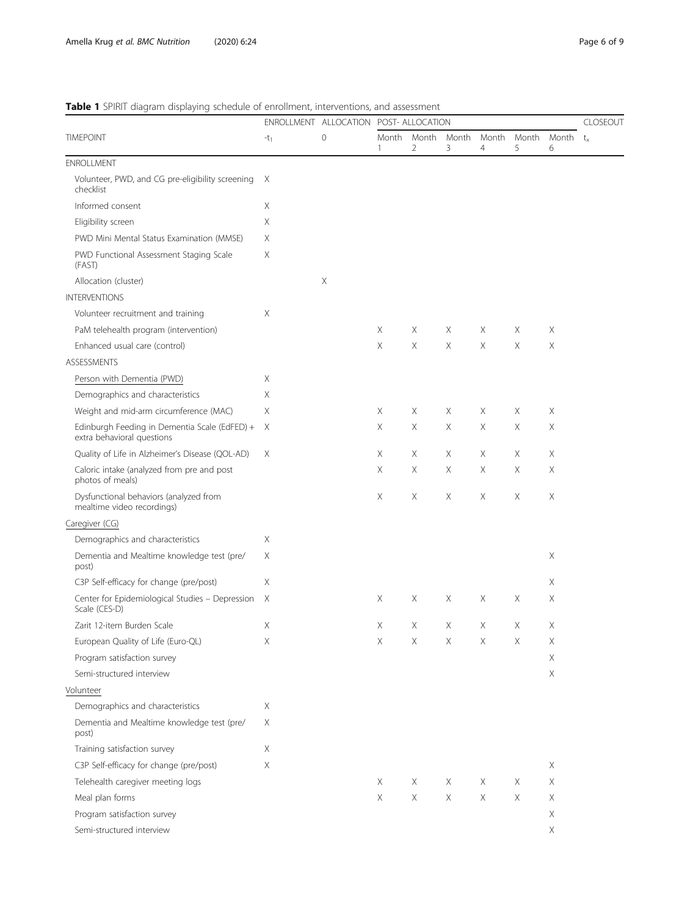| <b>TIMEPOINT</b>                                                            | $-t_1$ | ENROLLMENT ALLOCATION POST-ALLOCATION<br>0 |             | CLOSEOUT                  |             |                         |             |                  |  |
|-----------------------------------------------------------------------------|--------|--------------------------------------------|-------------|---------------------------|-------------|-------------------------|-------------|------------------|--|
|                                                                             |        |                                            | Month<br>1. | Month<br>$\overline{2}$   | Month<br>3  | Month<br>$\overline{4}$ | Month<br>5  | Month $t_x$<br>6 |  |
| <b>ENROLLMENT</b>                                                           |        |                                            |             |                           |             |                         |             |                  |  |
| Volunteer, PWD, and CG pre-eligibility screening<br>checklist               | Χ      |                                            |             |                           |             |                         |             |                  |  |
| Informed consent                                                            | Χ      |                                            |             |                           |             |                         |             |                  |  |
| Eligibility screen                                                          | Χ      |                                            |             |                           |             |                         |             |                  |  |
| PWD Mini Mental Status Examination (MMSE)                                   | Χ      |                                            |             |                           |             |                         |             |                  |  |
| PWD Functional Assessment Staging Scale<br>(FAST)                           | Χ      |                                            |             |                           |             |                         |             |                  |  |
| Allocation (cluster)                                                        |        | Χ                                          |             |                           |             |                         |             |                  |  |
| <b>INTERVENTIONS</b>                                                        |        |                                            |             |                           |             |                         |             |                  |  |
| Volunteer recruitment and training                                          | Χ      |                                            |             |                           |             |                         |             |                  |  |
| PaM telehealth program (intervention)                                       |        |                                            | X           | Χ                         | X           | Χ                       | Χ           | Χ                |  |
| Enhanced usual care (control)                                               |        |                                            | $\mathsf X$ | $\mathsf X$               | Χ           | $\mathsf X$             | $\mathsf X$ | X.               |  |
| ASSESSMENTS                                                                 |        |                                            |             |                           |             |                         |             |                  |  |
| Person with Dementia (PWD)                                                  | Χ      |                                            |             |                           |             |                         |             |                  |  |
| Demographics and characteristics                                            | Χ      |                                            |             |                           |             |                         |             |                  |  |
| Weight and mid-arm circumference (MAC)                                      | Χ      |                                            | Χ           | Χ                         | Χ           | Χ                       | Χ           | Χ                |  |
| Edinburgh Feeding in Dementia Scale (EdFED) +<br>extra behavioral questions | Χ      |                                            | Χ           | Χ                         | Χ           | Χ                       | X           | Χ                |  |
| Quality of Life in Alzheimer's Disease (QOL-AD)                             | Χ      |                                            | Χ           | Χ                         | Χ           | Χ                       | Χ           | Χ                |  |
| Caloric intake (analyzed from pre and post<br>photos of meals)              |        |                                            | Χ           | Χ                         | Χ           | Χ                       | Χ           | Χ                |  |
| Dysfunctional behaviors (analyzed from<br>mealtime video recordings)        |        |                                            | Χ           | Χ                         | X           | X                       | X           | Χ                |  |
| Caregiver (CG)                                                              |        |                                            |             |                           |             |                         |             |                  |  |
| Demographics and characteristics                                            | Χ      |                                            |             |                           |             |                         |             |                  |  |
| Dementia and Mealtime knowledge test (pre/<br>post)                         | Χ      |                                            |             |                           |             |                         |             | X.               |  |
| C3P Self-efficacy for change (pre/post)                                     | Χ      |                                            |             |                           |             |                         |             | Χ                |  |
| Center for Epidemiological Studies - Depression<br>Scale (CES-D)            | Χ      |                                            | Χ           | $\boldsymbol{\mathsf{X}}$ | X           | Χ                       | $\mathsf X$ | Χ                |  |
| Zarit 12-item Burden Scale                                                  | Χ      |                                            | Χ           | $\boldsymbol{\mathsf{X}}$ | Χ           | Χ                       | X           | Χ                |  |
| European Quality of Life (Euro-QL)                                          | Χ      |                                            | $\mathsf X$ | $\mathsf X$               | $\mathsf X$ | $\mathsf X$             | $\mathsf X$ | Χ                |  |
| Program satisfaction survey                                                 |        |                                            |             |                           |             |                         |             | Χ                |  |
| Semi-structured interview                                                   |        |                                            |             |                           |             |                         |             | Χ                |  |
| Volunteer                                                                   |        |                                            |             |                           |             |                         |             |                  |  |
| Demographics and characteristics                                            | Χ      |                                            |             |                           |             |                         |             |                  |  |
| Dementia and Mealtime knowledge test (pre/<br>post)                         | Χ      |                                            |             |                           |             |                         |             |                  |  |
| Training satisfaction survey                                                | Χ      |                                            |             |                           |             |                         |             |                  |  |
| C3P Self-efficacy for change (pre/post)                                     | Χ      |                                            |             |                           |             |                         |             | X                |  |
| Telehealth caregiver meeting logs                                           |        |                                            | Χ           | Χ                         | X           | X                       | X           | Χ                |  |
| Meal plan forms                                                             |        |                                            | $\mathsf X$ | $\mathsf X$               | $\times$    | X                       | $\mathsf X$ | X.               |  |
| Program satisfaction survey                                                 |        |                                            |             |                           |             |                         |             | Χ                |  |
| Semi-structured interview                                                   |        |                                            |             |                           |             |                         |             | Χ                |  |

# <span id="page-5-0"></span>Table 1 SPIRIT diagram displaying schedule of enrollment, interventions, and assessment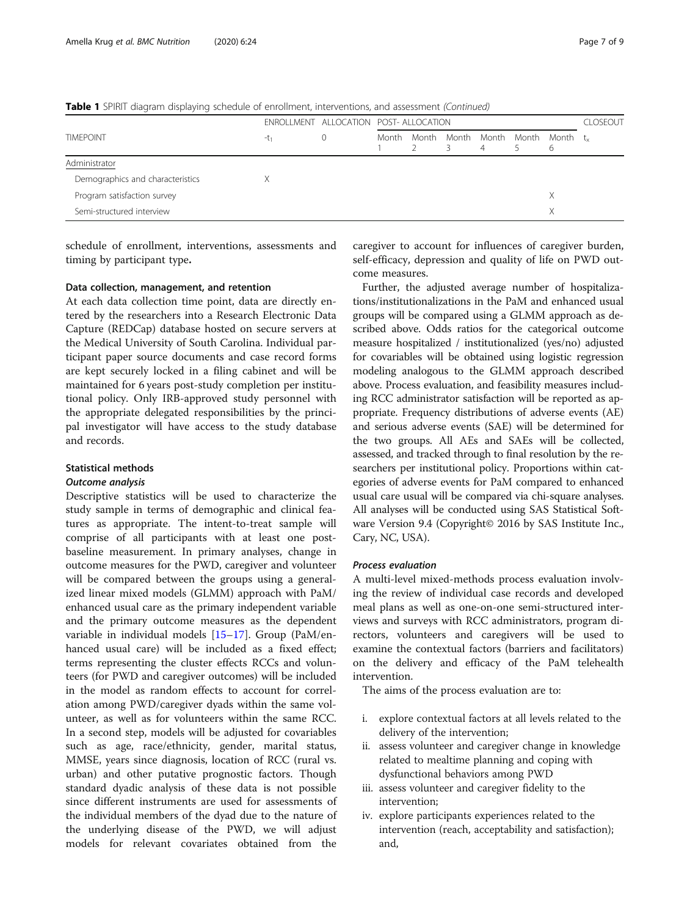**Table 1** SPIRIT diagram displaying schedule of enrollment, interventions, and assessment (Continued)

|                                  |     | ENROLLMENT ALLOCATION POST-ALLOCATION |  | <b>CLOSEOUT</b> |                                             |  |  |
|----------------------------------|-----|---------------------------------------|--|-----------------|---------------------------------------------|--|--|
| <b>TIMEPOINT</b>                 | -tı |                                       |  |                 | Month Month Month Month Month Month ty<br>4 |  |  |
| Administrator                    |     |                                       |  |                 |                                             |  |  |
| Demographics and characteristics |     |                                       |  |                 |                                             |  |  |
| Program satisfaction survey      |     |                                       |  |                 |                                             |  |  |
| Semi-structured interview        |     |                                       |  |                 |                                             |  |  |

schedule of enrollment, interventions, assessments and timing by participant type.

# Data collection, management, and retention

At each data collection time point, data are directly entered by the researchers into a Research Electronic Data Capture (REDCap) database hosted on secure servers at the Medical University of South Carolina. Individual participant paper source documents and case record forms are kept securely locked in a filing cabinet and will be maintained for 6 years post-study completion per institutional policy. Only IRB-approved study personnel with the appropriate delegated responsibilities by the principal investigator will have access to the study database and records.

# Statistical methods

#### Outcome analysis

Descriptive statistics will be used to characterize the study sample in terms of demographic and clinical features as appropriate. The intent-to-treat sample will comprise of all participants with at least one postbaseline measurement. In primary analyses, change in outcome measures for the PWD, caregiver and volunteer will be compared between the groups using a generalized linear mixed models (GLMM) approach with PaM/ enhanced usual care as the primary independent variable and the primary outcome measures as the dependent variable in individual models [[15](#page-8-0)–[17](#page-8-0)]. Group (PaM/enhanced usual care) will be included as a fixed effect; terms representing the cluster effects RCCs and volunteers (for PWD and caregiver outcomes) will be included in the model as random effects to account for correlation among PWD/caregiver dyads within the same volunteer, as well as for volunteers within the same RCC. In a second step, models will be adjusted for covariables such as age, race/ethnicity, gender, marital status, MMSE, years since diagnosis, location of RCC (rural vs. urban) and other putative prognostic factors. Though standard dyadic analysis of these data is not possible since different instruments are used for assessments of the individual members of the dyad due to the nature of the underlying disease of the PWD, we will adjust models for relevant covariates obtained from the

caregiver to account for influences of caregiver burden, self-efficacy, depression and quality of life on PWD outcome measures.

Further, the adjusted average number of hospitalizations/institutionalizations in the PaM and enhanced usual groups will be compared using a GLMM approach as described above. Odds ratios for the categorical outcome measure hospitalized / institutionalized (yes/no) adjusted for covariables will be obtained using logistic regression modeling analogous to the GLMM approach described above. Process evaluation, and feasibility measures including RCC administrator satisfaction will be reported as appropriate. Frequency distributions of adverse events (AE) and serious adverse events (SAE) will be determined for the two groups. All AEs and SAEs will be collected, assessed, and tracked through to final resolution by the researchers per institutional policy. Proportions within categories of adverse events for PaM compared to enhanced usual care usual will be compared via chi-square analyses. All analyses will be conducted using SAS Statistical Software Version 9.4 (Copyright© 2016 by SAS Institute Inc., Cary, NC, USA).

## Process evaluation

A multi-level mixed-methods process evaluation involving the review of individual case records and developed meal plans as well as one-on-one semi-structured interviews and surveys with RCC administrators, program directors, volunteers and caregivers will be used to examine the contextual factors (barriers and facilitators) on the delivery and efficacy of the PaM telehealth intervention.

The aims of the process evaluation are to:

- i. explore contextual factors at all levels related to the delivery of the intervention;
- ii. assess volunteer and caregiver change in knowledge related to mealtime planning and coping with dysfunctional behaviors among PWD
- iii. assess volunteer and caregiver fidelity to the intervention;
- iv. explore participants experiences related to the intervention (reach, acceptability and satisfaction); and,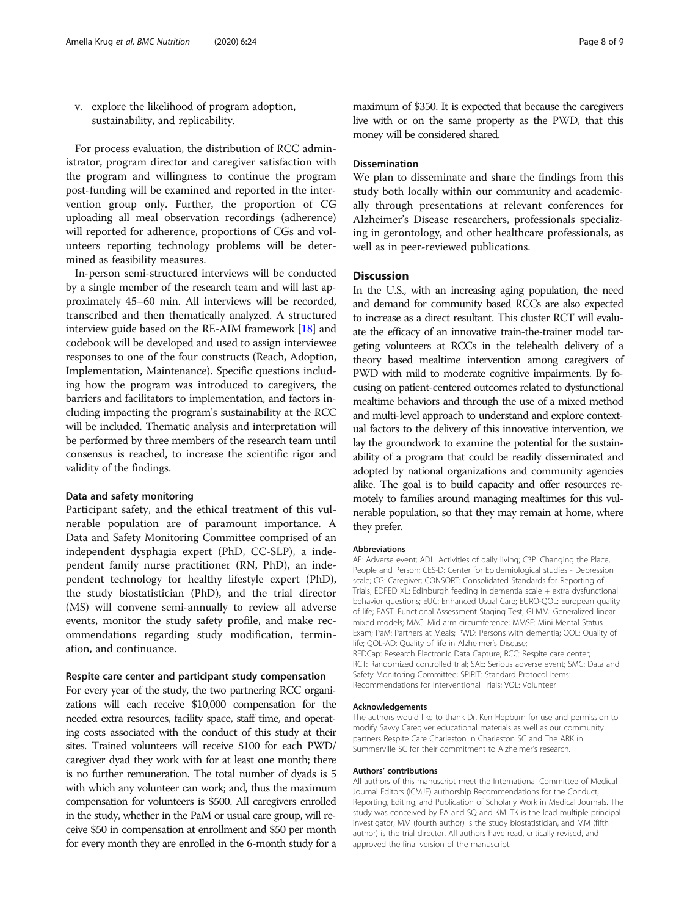v. explore the likelihood of program adoption, sustainability, and replicability.

For process evaluation, the distribution of RCC administrator, program director and caregiver satisfaction with the program and willingness to continue the program post-funding will be examined and reported in the intervention group only. Further, the proportion of CG uploading all meal observation recordings (adherence) will reported for adherence, proportions of CGs and volunteers reporting technology problems will be determined as feasibility measures.

In-person semi-structured interviews will be conducted by a single member of the research team and will last approximately 45–60 min. All interviews will be recorded, transcribed and then thematically analyzed. A structured interview guide based on the RE-AIM framework [\[18\]](#page-8-0) and codebook will be developed and used to assign interviewee responses to one of the four constructs (Reach, Adoption, Implementation, Maintenance). Specific questions including how the program was introduced to caregivers, the barriers and facilitators to implementation, and factors including impacting the program's sustainability at the RCC will be included. Thematic analysis and interpretation will be performed by three members of the research team until consensus is reached, to increase the scientific rigor and validity of the findings.

#### Data and safety monitoring

Participant safety, and the ethical treatment of this vulnerable population are of paramount importance. A Data and Safety Monitoring Committee comprised of an independent dysphagia expert (PhD, CC-SLP), a independent family nurse practitioner (RN, PhD), an independent technology for healthy lifestyle expert (PhD), the study biostatistician (PhD), and the trial director (MS) will convene semi-annually to review all adverse events, monitor the study safety profile, and make recommendations regarding study modification, termination, and continuance.

## Respite care center and participant study compensation

For every year of the study, the two partnering RCC organizations will each receive \$10,000 compensation for the needed extra resources, facility space, staff time, and operating costs associated with the conduct of this study at their sites. Trained volunteers will receive \$100 for each PWD/ caregiver dyad they work with for at least one month; there is no further remuneration. The total number of dyads is 5 with which any volunteer can work; and, thus the maximum compensation for volunteers is \$500. All caregivers enrolled in the study, whether in the PaM or usual care group, will receive \$50 in compensation at enrollment and \$50 per month for every month they are enrolled in the 6-month study for a

maximum of \$350. It is expected that because the caregivers live with or on the same property as the PWD, that this money will be considered shared.

## Dissemination

We plan to disseminate and share the findings from this study both locally within our community and academically through presentations at relevant conferences for Alzheimer's Disease researchers, professionals specializing in gerontology, and other healthcare professionals, as well as in peer-reviewed publications.

# Discussion

In the U.S., with an increasing aging population, the need and demand for community based RCCs are also expected to increase as a direct resultant. This cluster RCT will evaluate the efficacy of an innovative train-the-trainer model targeting volunteers at RCCs in the telehealth delivery of a theory based mealtime intervention among caregivers of PWD with mild to moderate cognitive impairments. By focusing on patient-centered outcomes related to dysfunctional mealtime behaviors and through the use of a mixed method and multi-level approach to understand and explore contextual factors to the delivery of this innovative intervention, we lay the groundwork to examine the potential for the sustainability of a program that could be readily disseminated and adopted by national organizations and community agencies alike. The goal is to build capacity and offer resources remotely to families around managing mealtimes for this vulnerable population, so that they may remain at home, where they prefer.

#### Abbreviations

AE: Adverse event; ADL: Activities of daily living; C3P: Changing the Place, People and Person; CES-D: Center for Epidemiological studies - Depression scale; CG: Caregiver; CONSORT: Consolidated Standards for Reporting of Trials; EDFED XL: Edinburgh feeding in dementia scale + extra dysfunctional behavior questions; EUC: Enhanced Usual Care; EURO-QOL: European quality of life; FAST: Functional Assessment Staging Test; GLMM: Generalized linear mixed models; MAC: Mid arm circumference; MMSE: Mini Mental Status Exam; PaM: Partners at Meals; PWD: Persons with dementia; QOL: Quality of life; QOL-AD: Quality of life in Alzheimer's Disease; REDCap: Research Electronic Data Capture; RCC: Respite care center; RCT: Randomized controlled trial; SAE: Serious adverse event; SMC: Data and Safety Monitoring Committee; SPIRIT: Standard Protocol Items: Recommendations for Interventional Trials; VOL: Volunteer

#### Acknowledgements

The authors would like to thank Dr. Ken Hepburn for use and permission to modify Savvy Caregiver educational materials as well as our community partners Respite Care Charleston in Charleston SC and The ARK in Summerville SC for their commitment to Alzheimer's research.

#### Authors' contributions

All authors of this manuscript meet the International Committee of Medical Journal Editors (ICMJE) authorship Recommendations for the Conduct, Reporting, Editing, and Publication of Scholarly Work in Medical Journals. The study was conceived by EA and SQ and KM. TK is the lead multiple principal investigator, MM (fourth author) is the study biostatistician, and MM (fifth author) is the trial director. All authors have read, critically revised, and approved the final version of the manuscript.